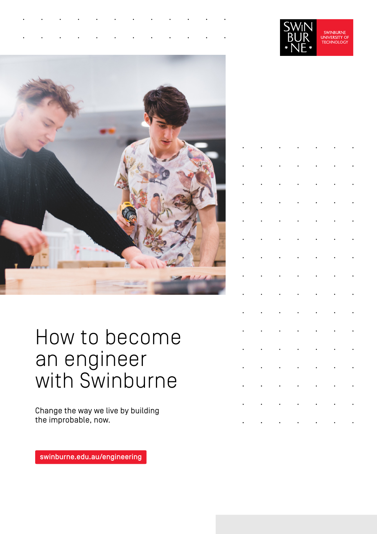



## How to become an engineer with Swinburne

Change the way we live by building the improbable, now.

[swinburne.edu.au/engineering](https://www.swinburne.edu.au/courses/find-a-course/engineering/?utm_campaign=study-areas&utm_source=short-url&utm_medium=short-url) 

|  | $\ddot{\phantom{0}}$ |                      |  |  |
|--|----------------------|----------------------|--|--|
|  |                      | $\ddot{\phantom{0}}$ |  |  |
|  |                      |                      |  |  |
|  |                      | $\ddot{\phantom{0}}$ |  |  |
|  |                      |                      |  |  |
|  |                      |                      |  |  |
|  |                      |                      |  |  |
|  |                      |                      |  |  |
|  |                      |                      |  |  |
|  |                      |                      |  |  |
|  |                      |                      |  |  |
|  |                      |                      |  |  |
|  |                      | $\ddot{\phantom{0}}$ |  |  |
|  |                      | $\ddot{\phantom{0}}$ |  |  |
|  |                      |                      |  |  |
|  |                      |                      |  |  |
|  |                      |                      |  |  |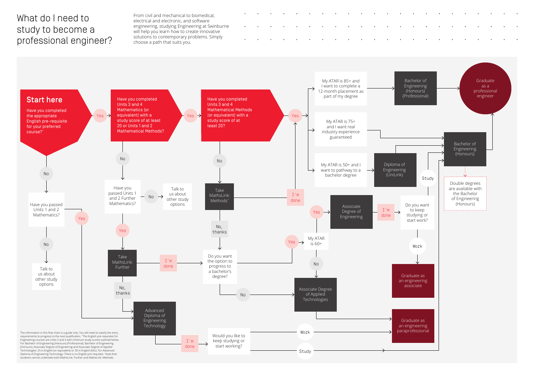## What do I need to study to become a professional engineer?

From civil and mechanical to biomedical, electrical and electronic, and software engineering, studying Engineering at Swinburne will help you learn how to create innovative solutions to contemporary problems. Simply choose a path that suits you.

For Bachelor of Engineering (Honours) (Professional), Bachelor of Engineering (Honours), Associate Degree of Engineering and Associate Degree of Applied Technologies: 25 in English (or equivalent) or 30 in English (EAL). For Advanced Diploma of Engineering Technology: There is no English pre-requisite. ^ Note that students cannot undertake both MathsLink: Further and MathsLink: Methods.





 $\bullet$ 

 $\bullet$ 

 $\bullet$